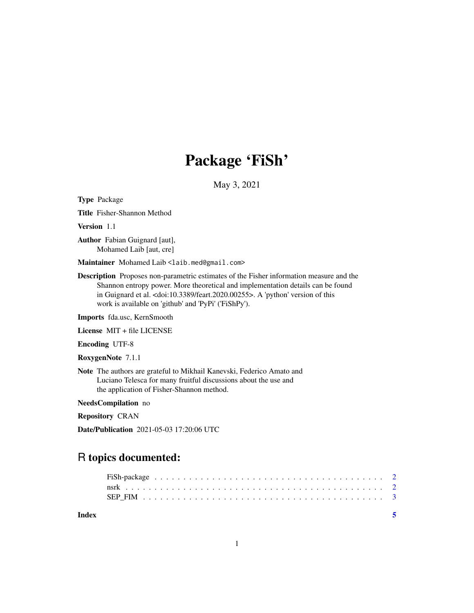# Package 'FiSh'

May 3, 2021

Type Package

Title Fisher-Shannon Method

Version 1.1

Author Fabian Guignard [aut], Mohamed Laib [aut, cre]

Maintainer Mohamed Laib <laib.med@gmail.com>

Description Proposes non-parametric estimates of the Fisher information measure and the Shannon entropy power. More theoretical and implementation details can be found in Guignard et al. <doi:10.3389/feart.2020.00255>. A 'python' version of this work is available on 'github' and 'PyPi' ('FiShPy').

Imports fda.usc, KernSmooth

License MIT + file LICENSE

Encoding UTF-8

RoxygenNote 7.1.1

Note The authors are grateful to Mikhail Kanevski, Federico Amato and Luciano Telesca for many fruitful discussions about the use and the application of Fisher-Shannon method.

NeedsCompilation no

Repository CRAN

Date/Publication 2021-05-03 17:20:06 UTC

# R topics documented:

| Index |  |  |  |  |  |  |  |  |  |  |  |  |  |  |  |  |  |  |  |  |
|-------|--|--|--|--|--|--|--|--|--|--|--|--|--|--|--|--|--|--|--|--|
|       |  |  |  |  |  |  |  |  |  |  |  |  |  |  |  |  |  |  |  |  |
|       |  |  |  |  |  |  |  |  |  |  |  |  |  |  |  |  |  |  |  |  |
|       |  |  |  |  |  |  |  |  |  |  |  |  |  |  |  |  |  |  |  |  |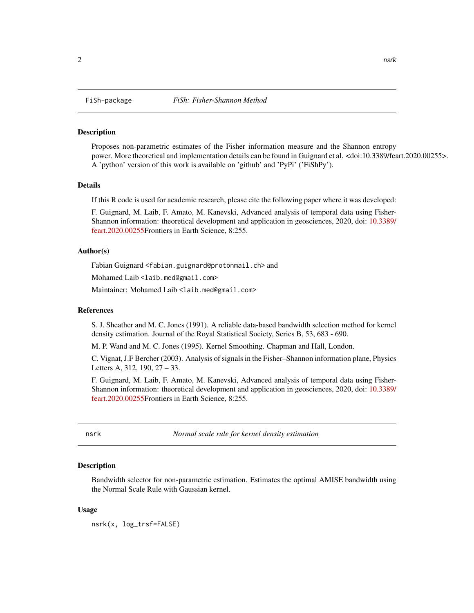<span id="page-1-0"></span>

# Description

Proposes non-parametric estimates of the Fisher information measure and the Shannon entropy power. More theoretical and implementation details can be found in Guignard et al. <doi:10.3389/feart.2020.00255>. A 'python' version of this work is available on 'github' and 'PyPi' ('FiShPy').

#### Details

If this R code is used for academic research, please cite the following paper where it was developed:

F. Guignard, M. Laib, F. Amato, M. Kanevski, Advanced analysis of temporal data using Fisher-Shannon information: theoretical development and application in geosciences, 2020, doi: [10.3389/](https://doi.org/10.3389/feart.2020.00255) [feart.2020.00255F](https://doi.org/10.3389/feart.2020.00255)rontiers in Earth Science, 8:255.

# Author(s)

Fabian Guignard <fabian.guignard@protonmail.ch> and

Mohamed Laib <laib.med@gmail.com>

Maintainer: Mohamed Laib <laib.med@gmail.com>

### References

S. J. Sheather and M. C. Jones (1991). A reliable data-based bandwidth selection method for kernel density estimation. Journal of the Royal Statistical Society, Series B, 53, 683 - 690.

M. P. Wand and M. C. Jones (1995). Kernel Smoothing. Chapman and Hall, London.

C. Vignat, J.F Bercher (2003). Analysis of signals in the Fisher–Shannon information plane, Physics Letters A, 312, 190, 27 – 33.

F. Guignard, M. Laib, F. Amato, M. Kanevski, Advanced analysis of temporal data using Fisher-Shannon information: theoretical development and application in geosciences, 2020, doi: [10.3389/](https://doi.org/10.3389/feart.2020.00255) [feart.2020.00255F](https://doi.org/10.3389/feart.2020.00255)rontiers in Earth Science, 8:255.

nsrk *Normal scale rule for kernel density estimation*

## **Description**

Bandwidth selector for non-parametric estimation. Estimates the optimal AMISE bandwidth using the Normal Scale Rule with Gaussian kernel.

# Usage

nsrk(x, log\_trsf=FALSE)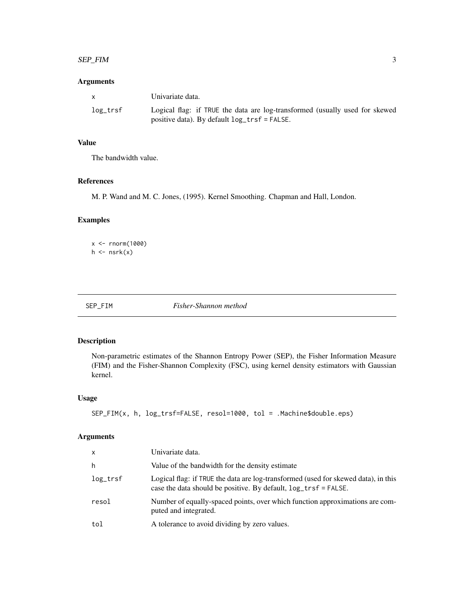#### <span id="page-2-0"></span>SEP\_FIM 3

# Arguments

|          | Univariate data.                                                                                                            |
|----------|-----------------------------------------------------------------------------------------------------------------------------|
| log_trsf | Logical flag: if TRUE the data are log-transformed (usually used for skewed<br>positive data). By default log_trsf = FALSE. |

# Value

The bandwidth value.

# References

M. P. Wand and M. C. Jones, (1995). Kernel Smoothing. Chapman and Hall, London.

# Examples

 $x < -$  rnorm(1000)  $h \leftarrow$ nsrk $(x)$ 

|--|--|

 $Fisher-Shannon$  method

# Description

Non-parametric estimates of the Shannon Entropy Power (SEP), the Fisher Information Measure (FIM) and the Fisher-Shannon Complexity (FSC), using kernel density estimators with Gaussian kernel.

# Usage

```
SEP_FIM(x, h, log_trsf=FALSE, resol=1000, tol = .Machine$double.eps)
```
# Arguments

| $\mathsf{x}$ | Univariate data.                                                                                                                                             |
|--------------|--------------------------------------------------------------------------------------------------------------------------------------------------------------|
| h            | Value of the bandwidth for the density estimate                                                                                                              |
| $log\_trsf$  | Logical flag: if TRUE the data are log-transformed (used for skewed data), in this<br>case the data should be positive. By default, $log_{10}$ trsf = FALSE. |
| resol        | Number of equally-spaced points, over which function approximations are com-<br>puted and integrated.                                                        |
| tol          | A tolerance to avoid dividing by zero values.                                                                                                                |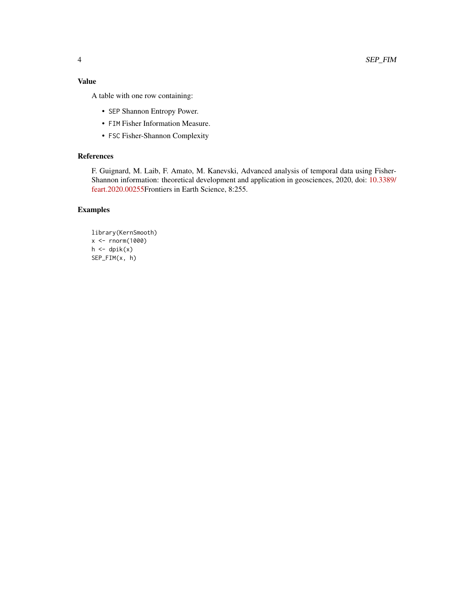# Value

A table with one row containing:

- SEP Shannon Entropy Power.
- FIM Fisher Information Measure.
- FSC Fisher-Shannon Complexity

# References

F. Guignard, M. Laib, F. Amato, M. Kanevski, Advanced analysis of temporal data using Fisher-Shannon information: theoretical development and application in geosciences, 2020, doi: [10.3389/](https://doi.org/10.3389/feart.2020.00255) [feart.2020.00255F](https://doi.org/10.3389/feart.2020.00255)rontiers in Earth Science, 8:255.

# Examples

library(KernSmooth) x <- rnorm(1000)  $h \leftarrow \text{d}pik(x)$ SEP\_FIM(x, h)